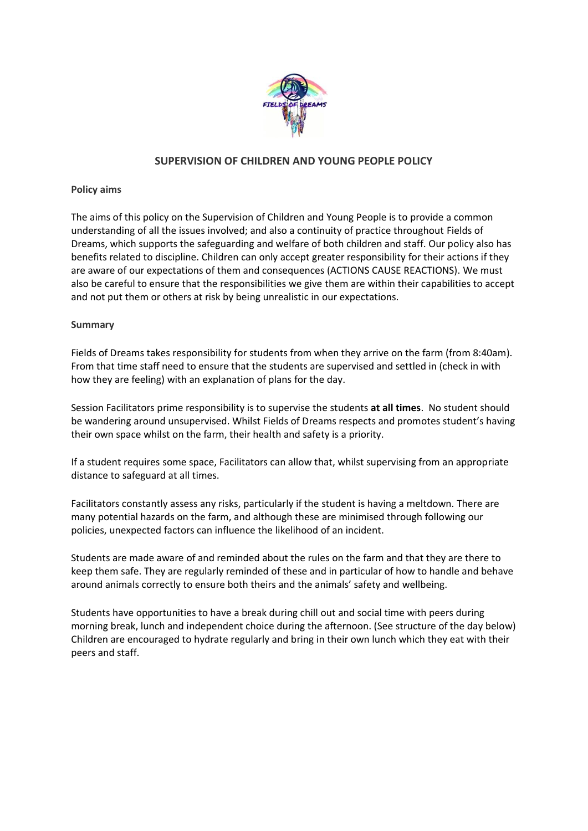

# **SUPERVISION OF CHILDREN AND YOUNG PEOPLE POLICY**

### **Policy aims**

The aims of this policy on the Supervision of Children and Young People is to provide a common understanding of all the issues involved; and also a continuity of practice throughout Fields of Dreams, which supports the safeguarding and welfare of both children and staff. Our policy also has benefits related to discipline. Children can only accept greater responsibility for their actions if they are aware of our expectations of them and consequences (ACTIONS CAUSE REACTIONS). We must also be careful to ensure that the responsibilities we give them are within their capabilities to accept and not put them or others at risk by being unrealistic in our expectations.

## **Summary**

Fields of Dreams takes responsibility for students from when they arrive on the farm (from 8:40am). From that time staff need to ensure that the students are supervised and settled in (check in with how they are feeling) with an explanation of plans for the day.

Session Facilitators prime responsibility is to supervise the students **at all times**. No student should be wandering around unsupervised. Whilst Fields of Dreams respects and promotes student's having their own space whilst on the farm, their health and safety is a priority.

If a student requires some space, Facilitators can allow that, whilst supervising from an appropriate distance to safeguard at all times.

Facilitators constantly assess any risks, particularly if the student is having a meltdown. There are many potential hazards on the farm, and although these are minimised through following our policies, unexpected factors can influence the likelihood of an incident.

Students are made aware of and reminded about the rules on the farm and that they are there to keep them safe. They are regularly reminded of these and in particular of how to handle and behave around animals correctly to ensure both theirs and the animals' safety and wellbeing.

Students have opportunities to have a break during chill out and social time with peers during morning break, lunch and independent choice during the afternoon. (See structure of the day below) Children are encouraged to hydrate regularly and bring in their own lunch which they eat with their peers and staff.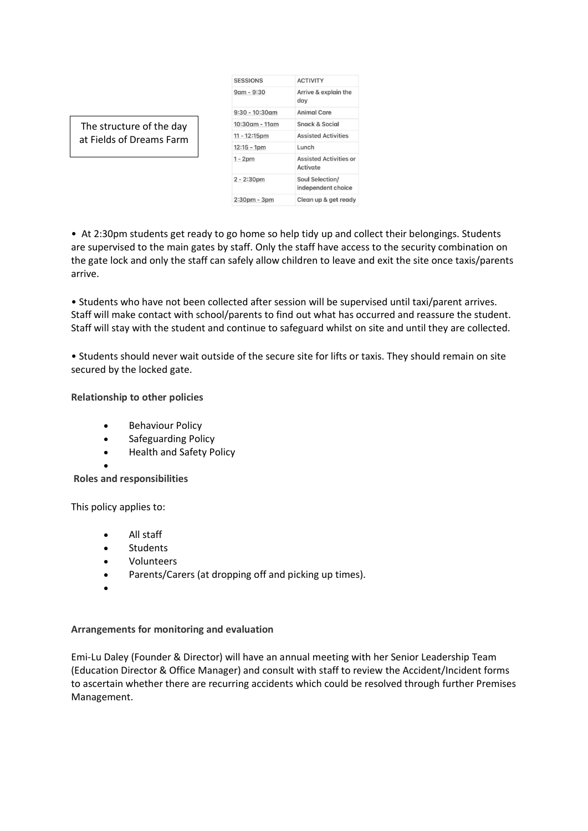| <b>SESSIONS</b>   | <b>ACTIVITY</b>                           |
|-------------------|-------------------------------------------|
| $9$ am - $9:30$   | Arrive & explain the<br>day               |
| $9:30 - 10:30$ am | Animal Care                               |
| 10:30am - 11am    | Snack & Social                            |
| $11 - 12:15pm$    | <b>Assisted Activities</b>                |
| $12:15 - 1pm$     | Lunch                                     |
| $1 - 2pm$         | <b>Assisted Activities or</b><br>Activate |
| $2 - 2:30pm$      | Soul Selection/<br>independent choice     |
| $2:30pm - 3pm$    | Clean up & get ready                      |

The structure of the day at Fields of Dreams Farm

• At 2:30pm students get ready to go home so help tidy up and collect their belongings. Students are supervised to the main gates by staff. Only the staff have access to the security combination on the gate lock and only the staff can safely allow children to leave and exit the site once taxis/parents arrive.

• Students who have not been collected after session will be supervised until taxi/parent arrives. Staff will make contact with school/parents to find out what has occurred and reassure the student. Staff will stay with the student and continue to safeguard whilst on site and until they are collected.

• Students should never wait outside of the secure site for lifts or taxis. They should remain on site secured by the locked gate.

**Relationship to other policies**

- **Behaviour Policy**
- Safeguarding Policy
- Health and Safety Policy

• **Roles and responsibilities**

This policy applies to:

- All staff
- **Students**
- Volunteers
- Parents/Carers (at dropping off and picking up times).
- •

#### **Arrangements for monitoring and evaluation**

Emi-Lu Daley (Founder & Director) will have an annual meeting with her Senior Leadership Team (Education Director & Office Manager) and consult with staff to review the Accident/Incident forms to ascertain whether there are recurring accidents which could be resolved through further Premises Management.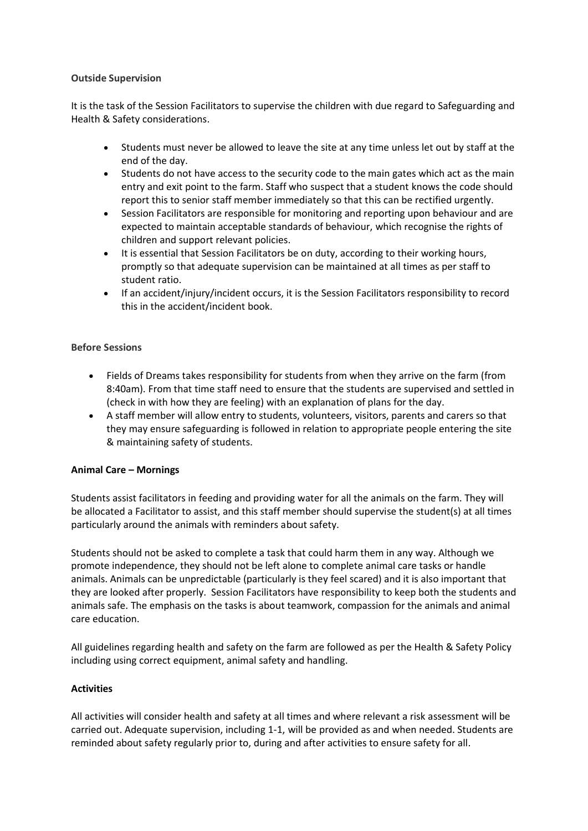### **Outside Supervision**

It is the task of the Session Facilitators to supervise the children with due regard to Safeguarding and Health & Safety considerations.

- Students must never be allowed to leave the site at any time unless let out by staff at the end of the day.
- Students do not have access to the security code to the main gates which act as the main entry and exit point to the farm. Staff who suspect that a student knows the code should report this to senior staff member immediately so that this can be rectified urgently.
- Session Facilitators are responsible for monitoring and reporting upon behaviour and are expected to maintain acceptable standards of behaviour, which recognise the rights of children and support relevant policies.
- It is essential that Session Facilitators be on duty, according to their working hours, promptly so that adequate supervision can be maintained at all times as per staff to student ratio.
- If an accident/injury/incident occurs, it is the Session Facilitators responsibility to record this in the accident/incident book.

## **Before Sessions**

- Fields of Dreams takes responsibility for students from when they arrive on the farm (from 8:40am). From that time staff need to ensure that the students are supervised and settled in (check in with how they are feeling) with an explanation of plans for the day.
- A staff member will allow entry to students, volunteers, visitors, parents and carers so that they may ensure safeguarding is followed in relation to appropriate people entering the site & maintaining safety of students.

#### **Animal Care – Mornings**

Students assist facilitators in feeding and providing water for all the animals on the farm. They will be allocated a Facilitator to assist, and this staff member should supervise the student(s) at all times particularly around the animals with reminders about safety.

Students should not be asked to complete a task that could harm them in any way. Although we promote independence, they should not be left alone to complete animal care tasks or handle animals. Animals can be unpredictable (particularly is they feel scared) and it is also important that they are looked after properly. Session Facilitators have responsibility to keep both the students and animals safe. The emphasis on the tasks is about teamwork, compassion for the animals and animal care education.

All guidelines regarding health and safety on the farm are followed as per the Health & Safety Policy including using correct equipment, animal safety and handling.

#### **Activities**

All activities will consider health and safety at all times and where relevant a risk assessment will be carried out. Adequate supervision, including 1-1, will be provided as and when needed. Students are reminded about safety regularly prior to, during and after activities to ensure safety for all.